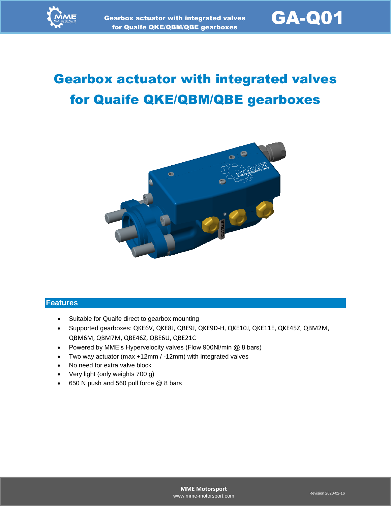

# Gearbox actuator with integrated valves for Quaife QKE/QBM/QBE gearboxes



#### **Features**

- Suitable for Quaife direct to gearbox mounting
- Supported gearboxes: QKE6V, QKE8J, QBE9J, QKE9D-H, QKE10J, QKE11E, QKE45Z, QBM2M, QBM6M, QBM7M, QBE46Z, QBE6U, QBE21C
- Powered by MME's Hypervelocity valves (Flow 900Nl/min @ 8 bars)
- Two way actuator (max +12mm / -12mm) with integrated valves
- No need for extra valve block
- Very light (only weights 700 g)
- 650 N push and 560 pull force @ 8 bars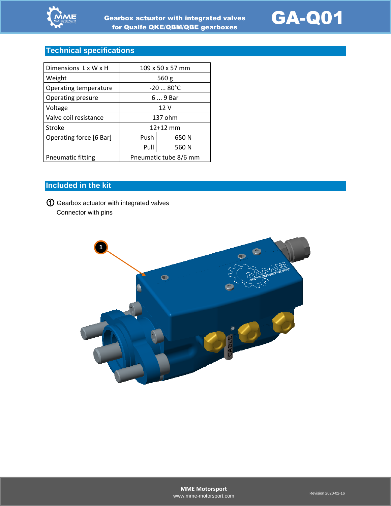



# **Technical specifications**

| Dimensions LxWxH        | 109 x 50 x 57 mm      |       |
|-------------------------|-----------------------|-------|
| Weight                  | 560 $g$               |       |
| Operating temperature   | $-2080^{\circ}C$      |       |
| Operating presure       | 6  9 Bar              |       |
| Voltage                 | 12 V                  |       |
| Valve coil resistance   | 137 ohm               |       |
| Stroke                  | $12+12$ mm            |       |
| Operating force [6 Bar] | Push                  | 650 N |
|                         | Pull                  | 560 N |
| Pneumatic fitting       | Pneumatic tube 8/6 mm |       |

# **Included in the kit**

① Gearbox actuator with integrated valves Connector with pins

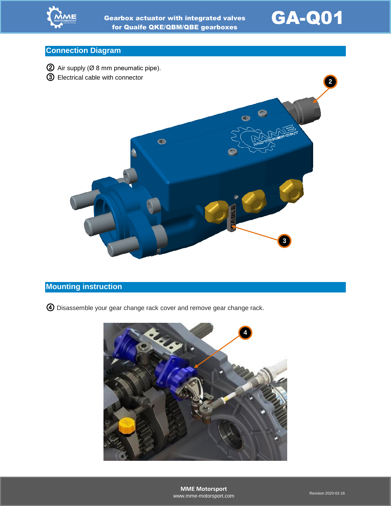



### **Connection Diagram**



### **Mounting instruction**

④ Disassemble your gear change rack cover and remove gear change rack.

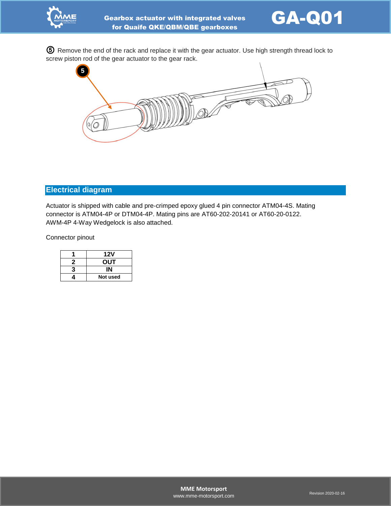



⑤ Remove the end of the rack and replace it with the gear actuator. Use high strength thread lock to screw piston rod of the gear actuator to the gear rack.



#### **Electrical diagram**

Actuator is shipped with cable and pre-crimped epoxy glued 4 pin connector ATM04-4S. Mating connector is ATM04-4P or DTM04-4P. Mating pins are AT60-202-20141 or AT60-20-0122. AWM-4P 4-Way Wedgelock is also attached.

Connector pinout

|   | 12V        |  |
|---|------------|--|
| 7 | <b>OUT</b> |  |
| 3 |            |  |
|   | Not used   |  |